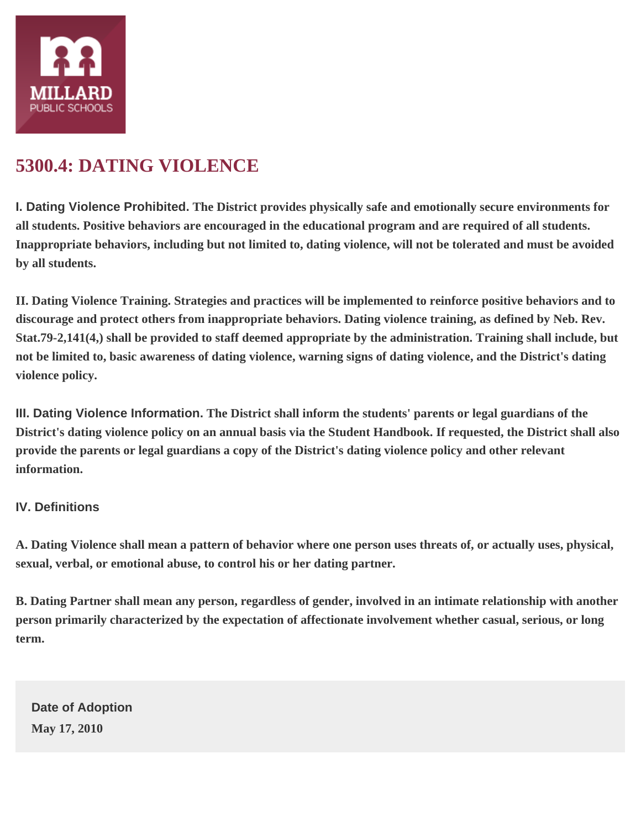## [5300.4: DATING VIOLENCE](https://www.mpsomaha.org/board/policies/53004-dating-violence)

I. Dating Violence Prohibited. The District provides physically safe and emotionally secure environments for all students. Positive behaviors are encouraged in the educational program and are required of all students. Inappropriate behaviors, including but not limited to, dating violence, will not be tolerated and must be avoided by all students.

II. Dating Violence Training. Strategies and practices will be implemented to reinforce positive behaviors and to discourage and protect others from inappropriate behaviors. Dating violence training, as defined by Neb. Rev. Stat.79-2,141(4,) shall be provided to staff deemed appropriate by the administration. Training shall include, but not be limited to, basic awareness of dating violence, warning signs of dating violence, and the District's dating violence policy.

III. Dating Violence Information. The District shall inform the students' parents or legal guardians of the District's dating violence policy on an annual basis via the Student Handbook. If requested, the District shall also provide the parents or legal guardians a copy of the District's dating violence policy and other relevant information.

## IV. Definitions

A. Dating Violence shall mean a pattern of behavior where one person uses threats of, or actually uses, physical, sexual, verbal, or emotional abuse, to control his or her dating partner.

B. Dating Partner shall mean any person, regardless of gender, involved in an intimate relationship with another person primarily characterized by the expectation of affectionate involvement whether casual, serious, or long term.

Date of Adoption May 17, 2010